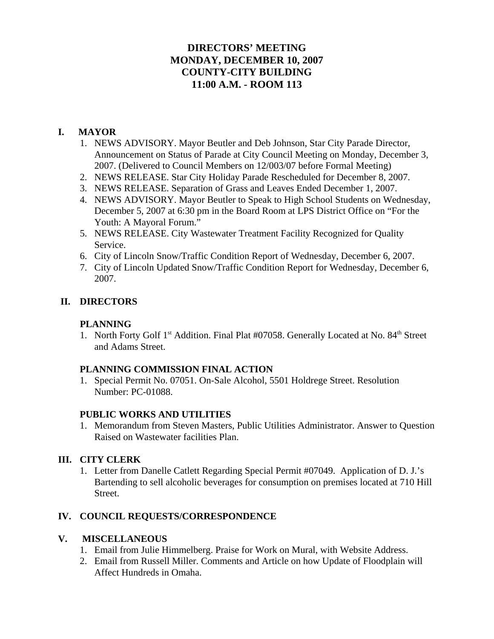# **DIRECTORS' MEETING MONDAY, DECEMBER 10, 2007 COUNTY-CITY BUILDING 11:00 A.M. - ROOM 113**

## **I. MAYOR**

- 1. NEWS ADVISORY. Mayor Beutler and Deb Johnson, Star City Parade Director, Announcement on Status of Parade at City Council Meeting on Monday, December 3, 2007. (Delivered to Council Members on 12/003/07 before Formal Meeting)
- 2. NEWS RELEASE. Star City Holiday Parade Rescheduled for December 8, 2007.
- 3. NEWS RELEASE. Separation of Grass and Leaves Ended December 1, 2007.
- 4. NEWS ADVISORY. Mayor Beutler to Speak to High School Students on Wednesday, December 5, 2007 at 6:30 pm in the Board Room at LPS District Office on "For the Youth: A Mayoral Forum."
- 5. NEWS RELEASE. City Wastewater Treatment Facility Recognized for Quality Service.
- 6. City of Lincoln Snow/Traffic Condition Report of Wednesday, December 6, 2007.
- 7. City of Lincoln Updated Snow/Traffic Condition Report for Wednesday, December 6, 2007.

## **II. DIRECTORS**

### **PLANNING**

1. North Forty Golf 1<sup>st</sup> Addition. Final Plat #07058. Generally Located at No. 84<sup>th</sup> Street and Adams Street.

## **PLANNING COMMISSION FINAL ACTION**

1. Special Permit No. 07051. On-Sale Alcohol, 5501 Holdrege Street. Resolution Number: PC-01088.

#### **PUBLIC WORKS AND UTILITIES**

1. Memorandum from Steven Masters, Public Utilities Administrator. Answer to Question Raised on Wastewater facilities Plan.

## **III. CITY CLERK**

1. Letter from Danelle Catlett Regarding Special Permit #07049. Application of D. J.'s Bartending to sell alcoholic beverages for consumption on premises located at 710 Hill Street.

## **IV. COUNCIL REQUESTS/CORRESPONDENCE**

## **V. MISCELLANEOUS**

- 1. Email from Julie Himmelberg. Praise for Work on Mural, with Website Address.
- 2. Email from Russell Miller. Comments and Article on how Update of Floodplain will Affect Hundreds in Omaha.